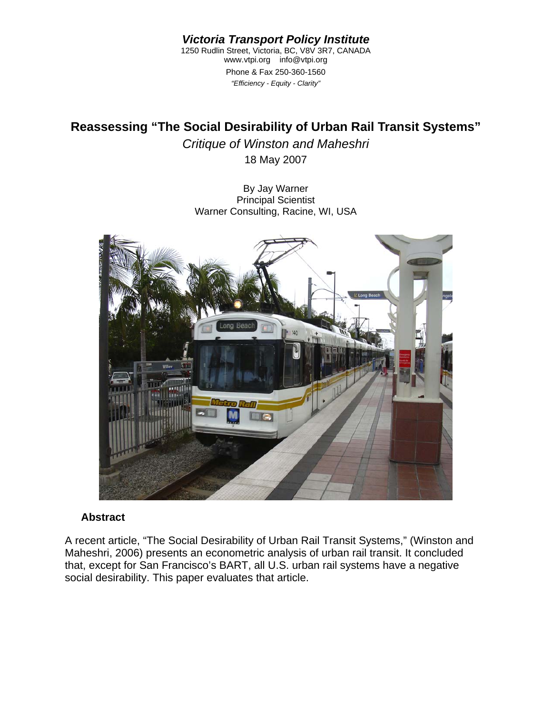*Victoria Transport Policy Institute* 

1250 Rudlin Street, Victoria, BC, V8V 3R7, CANADA www.vtpi.org info@vtpi.org Phone & Fax 250-360-1560 *"Efficiency - Equity - Clarity"*

# **Reassessing "The Social Desirability of Urban Rail Transit Systems"**

*Critique of Winston and Maheshri*  18 May 2007

By Jay Warner Principal Scientist Warner Consulting, Racine, WI, USA



#### **Abstract**

A recent article, "The Social Desirability of Urban Rail Transit Systems," (Winston and Maheshri, 2006) presents an econometric analysis of urban rail transit. It concluded that, except for San Francisco's BART, all U.S. urban rail systems have a negative social desirability. This paper evaluates that article.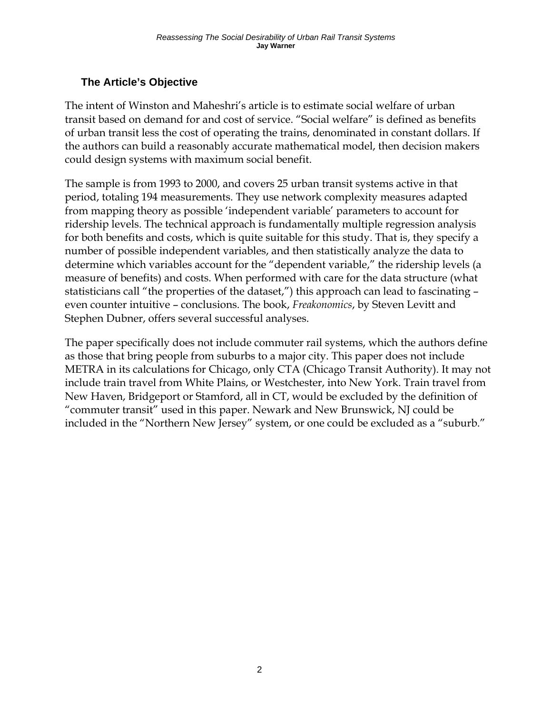## **The Article's Objective**

The intent of Winston and Maheshri's article is to estimate social welfare of urban transit based on demand for and cost of service. "Social welfare" is defined as benefits of urban transit less the cost of operating the trains, denominated in constant dollars. If the authors can build a reasonably accurate mathematical model, then decision makers could design systems with maximum social benefit.

The sample is from 1993 to 2000, and covers 25 urban transit systems active in that period, totaling 194 measurements. They use network complexity measures adapted from mapping theory as possible 'independent variable' parameters to account for ridership levels. The technical approach is fundamentally multiple regression analysis for both benefits and costs, which is quite suitable for this study. That is, they specify a number of possible independent variables, and then statistically analyze the data to determine which variables account for the "dependent variable," the ridership levels (a measure of benefits) and costs. When performed with care for the data structure (what statisticians call "the properties of the dataset,") this approach can lead to fascinating – even counter intuitive – conclusions. The book, *Freakonomics*, by Steven Levitt and Stephen Dubner, offers several successful analyses.

The paper specifically does not include commuter rail systems, which the authors define as those that bring people from suburbs to a major city. This paper does not include METRA in its calculations for Chicago, only CTA (Chicago Transit Authority). It may not include train travel from White Plains, or Westchester, into New York. Train travel from New Haven, Bridgeport or Stamford, all in CT, would be excluded by the definition of "commuter transit" used in this paper. Newark and New Brunswick, NJ could be included in the "Northern New Jersey" system, or one could be excluded as a "suburb."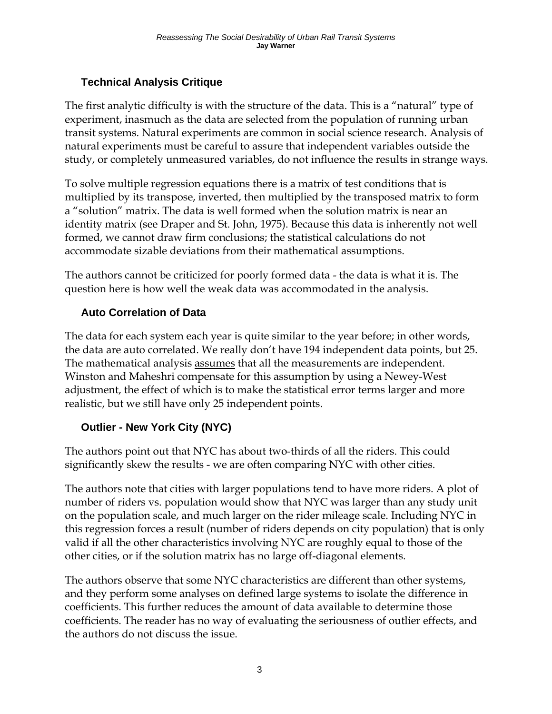## **Technical Analysis Critique**

The first analytic difficulty is with the structure of the data. This is a "natural" type of experiment, inasmuch as the data are selected from the population of running urban transit systems. Natural experiments are common in social science research. Analysis of natural experiments must be careful to assure that independent variables outside the study, or completely unmeasured variables, do not influence the results in strange ways.

To solve multiple regression equations there is a matrix of test conditions that is multiplied by its transpose, inverted, then multiplied by the transposed matrix to form a "solution" matrix. The data is well formed when the solution matrix is near an identity matrix (see Draper and St. John, 1975). Because this data is inherently not well formed, we cannot draw firm conclusions; the statistical calculations do not accommodate sizable deviations from their mathematical assumptions.

The authors cannot be criticized for poorly formed data - the data is what it is. The question here is how well the weak data was accommodated in the analysis.

## **Auto Correlation of Data**

The data for each system each year is quite similar to the year before; in other words, the data are auto correlated. We really don't have 194 independent data points, but 25. The mathematical analysis assumes that all the measurements are independent. Winston and Maheshri compensate for this assumption by using a Newey-West adjustment, the effect of which is to make the statistical error terms larger and more realistic, but we still have only 25 independent points.

## **Outlier - New York City (NYC)**

The authors point out that NYC has about two-thirds of all the riders. This could significantly skew the results - we are often comparing NYC with other cities.

The authors note that cities with larger populations tend to have more riders. A plot of number of riders vs. population would show that NYC was larger than any study unit on the population scale, and much larger on the rider mileage scale. Including NYC in this regression forces a result (number of riders depends on city population) that is only valid if all the other characteristics involving NYC are roughly equal to those of the other cities, or if the solution matrix has no large off-diagonal elements.

The authors observe that some NYC characteristics are different than other systems, and they perform some analyses on defined large systems to isolate the difference in coefficients. This further reduces the amount of data available to determine those coefficients. The reader has no way of evaluating the seriousness of outlier effects, and the authors do not discuss the issue.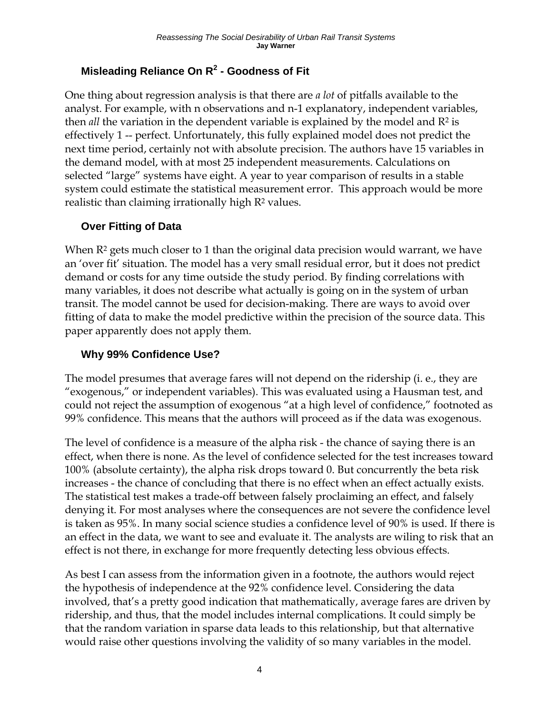## **Misleading Reliance On R2 - Goodness of Fit**

One thing about regression analysis is that there are *a lot* of pitfalls available to the analyst. For example, with n observations and n-1 explanatory, independent variables, then *all* the variation in the dependent variable is explained by the model and R2 is effectively 1 -- perfect. Unfortunately, this fully explained model does not predict the next time period, certainly not with absolute precision. The authors have 15 variables in the demand model, with at most 25 independent measurements. Calculations on selected "large" systems have eight. A year to year comparison of results in a stable system could estimate the statistical measurement error. This approach would be more realistic than claiming irrationally high R<sup>2</sup> values.

### **Over Fitting of Data**

When  $\mathbb{R}^2$  gets much closer to 1 than the original data precision would warrant, we have an 'over fit' situation. The model has a very small residual error, but it does not predict demand or costs for any time outside the study period. By finding correlations with many variables, it does not describe what actually is going on in the system of urban transit. The model cannot be used for decision-making. There are ways to avoid over fitting of data to make the model predictive within the precision of the source data. This paper apparently does not apply them.

#### **Why 99% Confidence Use?**

The model presumes that average fares will not depend on the ridership (i. e., they are "exogenous," or independent variables). This was evaluated using a Hausman test, and could not reject the assumption of exogenous "at a high level of confidence," footnoted as 99% confidence. This means that the authors will proceed as if the data was exogenous.

The level of confidence is a measure of the alpha risk - the chance of saying there is an effect, when there is none. As the level of confidence selected for the test increases toward 100% (absolute certainty), the alpha risk drops toward 0. But concurrently the beta risk increases - the chance of concluding that there is no effect when an effect actually exists. The statistical test makes a trade-off between falsely proclaiming an effect, and falsely denying it. For most analyses where the consequences are not severe the confidence level is taken as 95%. In many social science studies a confidence level of 90% is used. If there is an effect in the data, we want to see and evaluate it. The analysts are wiling to risk that an effect is not there, in exchange for more frequently detecting less obvious effects.

As best I can assess from the information given in a footnote, the authors would reject the hypothesis of independence at the 92% confidence level. Considering the data involved, that's a pretty good indication that mathematically, average fares are driven by ridership, and thus, that the model includes internal complications. It could simply be that the random variation in sparse data leads to this relationship, but that alternative would raise other questions involving the validity of so many variables in the model.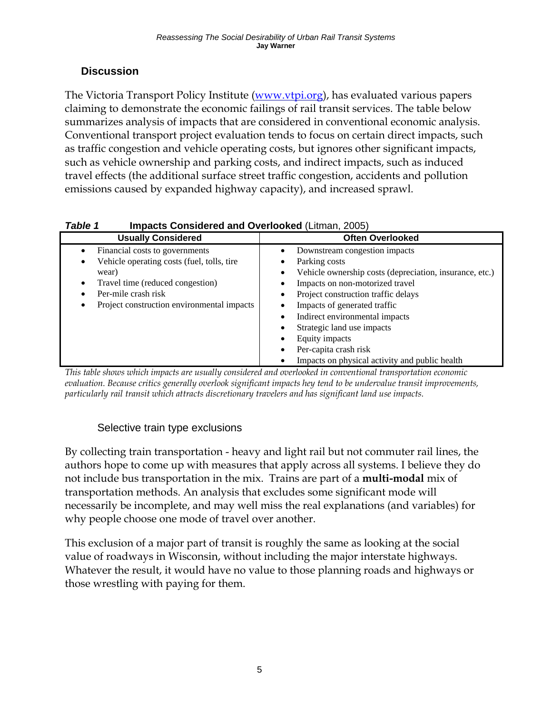### **Discussion**

The Victoria Transport Policy Institute ([www.vtpi.org](http://www.vtpi.org/)), has evaluated various papers claiming to demonstrate the economic failings of rail transit services. The table below summarizes analysis of impacts that are considered in conventional economic analysis. Conventional transport project evaluation tends to focus on certain direct impacts, such as traffic congestion and vehicle operating costs, but ignores other significant impacts, such as vehicle ownership and parking costs, and indirect impacts, such as induced travel effects (the additional surface street traffic congestion, accidents and pollution emissions caused by expanded highway capacity), and increased sprawl.

| rapie i<br><b>Impacts Considered and Overlooked (Litthan, 2005)</b>                                                                                                                                 |                                                                                                                                                                                                                                                                                   |
|-----------------------------------------------------------------------------------------------------------------------------------------------------------------------------------------------------|-----------------------------------------------------------------------------------------------------------------------------------------------------------------------------------------------------------------------------------------------------------------------------------|
| <b>Usually Considered</b>                                                                                                                                                                           | <b>Often Overlooked</b>                                                                                                                                                                                                                                                           |
| Financial costs to governments<br>Vehicle operating costs (fuel, tolls, tire<br>٠<br>wear)<br>Travel time (reduced congestion)<br>Per-mile crash risk<br>Project construction environmental impacts | Downstream congestion impacts<br>$\bullet$<br>Parking costs<br>٠<br>Vehicle ownership costs (depreciation, insurance, etc.)<br>٠<br>Impacts on non-motorized travel<br>Project construction traffic delays<br>Impacts of generated traffic<br>Indirect environmental impacts<br>٠ |
|                                                                                                                                                                                                     | Strategic land use impacts<br>Equity impacts<br>٠                                                                                                                                                                                                                                 |
|                                                                                                                                                                                                     | Per-capita crash risk<br>$\bullet$<br>Impacts on physical activity and public health                                                                                                                                                                                              |

#### *Table 1* **Impacts Considered and Overlooked** (Litman, 2005)

*This table shows which impacts are usually considered and overlooked in conventional transportation economic evaluation. Because critics generally overlook significant impacts hey tend to be undervalue transit improvements, particularly rail transit which attracts discretionary travelers and has significant land use impacts.* 

### Selective train type exclusions

By collecting train transportation - heavy and light rail but not commuter rail lines, the authors hope to come up with measures that apply across all systems. I believe they do not include bus transportation in the mix. Trains are part of a **multi-modal** mix of transportation methods. An analysis that excludes some significant mode will necessarily be incomplete, and may well miss the real explanations (and variables) for why people choose one mode of travel over another.

This exclusion of a major part of transit is roughly the same as looking at the social value of roadways in Wisconsin, without including the major interstate highways. Whatever the result, it would have no value to those planning roads and highways or those wrestling with paying for them.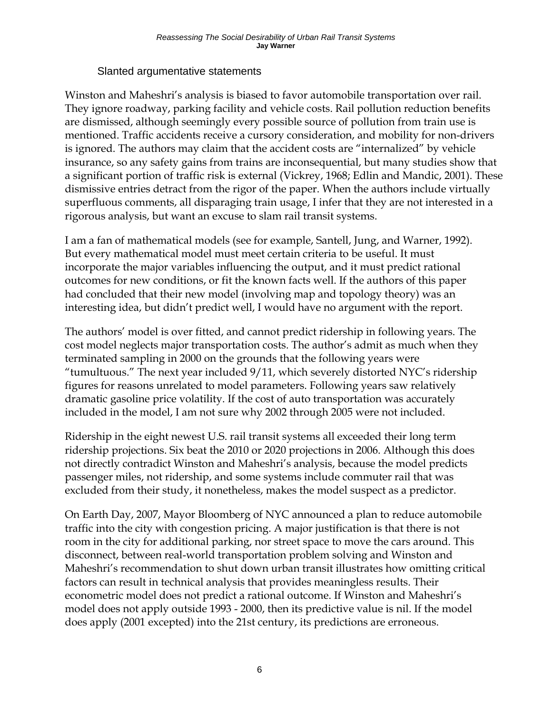#### Slanted argumentative statements

Winston and Maheshri's analysis is biased to favor automobile transportation over rail. They ignore roadway, parking facility and vehicle costs. Rail pollution reduction benefits are dismissed, although seemingly every possible source of pollution from train use is mentioned. Traffic accidents receive a cursory consideration, and mobility for non-drivers is ignored. The authors may claim that the accident costs are "internalized" by vehicle insurance, so any safety gains from trains are inconsequential, but many studies show that a significant portion of traffic risk is external (Vickrey, 1968; Edlin and Mandic, 2001). These dismissive entries detract from the rigor of the paper. When the authors include virtually superfluous comments, all disparaging train usage, I infer that they are not interested in a rigorous analysis, but want an excuse to slam rail transit systems.

I am a fan of mathematical models (see for example, Santell, Jung, and Warner, 1992). But every mathematical model must meet certain criteria to be useful. It must incorporate the major variables influencing the output, and it must predict rational outcomes for new conditions, or fit the known facts well. If the authors of this paper had concluded that their new model (involving map and topology theory) was an interesting idea, but didn't predict well, I would have no argument with the report.

The authors' model is over fitted, and cannot predict ridership in following years. The cost model neglects major transportation costs. The author's admit as much when they terminated sampling in 2000 on the grounds that the following years were "tumultuous." The next year included 9/11, which severely distorted NYC's ridership figures for reasons unrelated to model parameters. Following years saw relatively dramatic gasoline price volatility. If the cost of auto transportation was accurately included in the model, I am not sure why 2002 through 2005 were not included.

Ridership in the eight newest U.S. rail transit systems all exceeded their long term ridership projections. Six beat the 2010 or 2020 projections in 2006. Although this does not directly contradict Winston and Maheshri's analysis, because the model predicts passenger miles, not ridership, and some systems include commuter rail that was excluded from their study, it nonetheless, makes the model suspect as a predictor.

On Earth Day, 2007, Mayor Bloomberg of NYC announced a plan to reduce automobile traffic into the city with congestion pricing. A major justification is that there is not room in the city for additional parking, nor street space to move the cars around. This disconnect, between real-world transportation problem solving and Winston and Maheshri's recommendation to shut down urban transit illustrates how omitting critical factors can result in technical analysis that provides meaningless results. Their econometric model does not predict a rational outcome. If Winston and Maheshri's model does not apply outside 1993 - 2000, then its predictive value is nil. If the model does apply (2001 excepted) into the 21st century, its predictions are erroneous.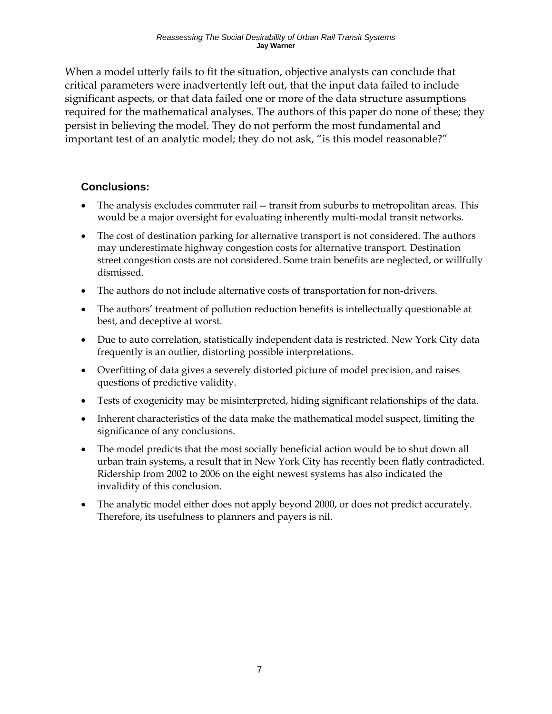When a model utterly fails to fit the situation, objective analysts can conclude that critical parameters were inadvertently left out, that the input data failed to include significant aspects, or that data failed one or more of the data structure assumptions required for the mathematical analyses. The authors of this paper do none of these; they persist in believing the model. They do not perform the most fundamental and important test of an analytic model; they do not ask, "is this model reasonable?"

#### **Conclusions:**

- The analysis excludes commuter rail -- transit from suburbs to metropolitan areas. This would be a major oversight for evaluating inherently multi-modal transit networks.
- The cost of destination parking for alternative transport is not considered. The authors may underestimate highway congestion costs for alternative transport. Destination street congestion costs are not considered. Some train benefits are neglected, or willfully dismissed.
- The authors do not include alternative costs of transportation for non-drivers.
- The authors' treatment of pollution reduction benefits is intellectually questionable at best, and deceptive at worst.
- Due to auto correlation, statistically independent data is restricted. New York City data frequently is an outlier, distorting possible interpretations.
- Overfitting of data gives a severely distorted picture of model precision, and raises questions of predictive validity.
- Tests of exogenicity may be misinterpreted, hiding significant relationships of the data.
- Inherent characteristics of the data make the mathematical model suspect, limiting the significance of any conclusions.
- The model predicts that the most socially beneficial action would be to shut down all urban train systems, a result that in New York City has recently been flatly contradicted. Ridership from 2002 to 2006 on the eight newest systems has also indicated the invalidity of this conclusion.
- The analytic model either does not apply beyond 2000, or does not predict accurately. Therefore, its usefulness to planners and payers is nil.